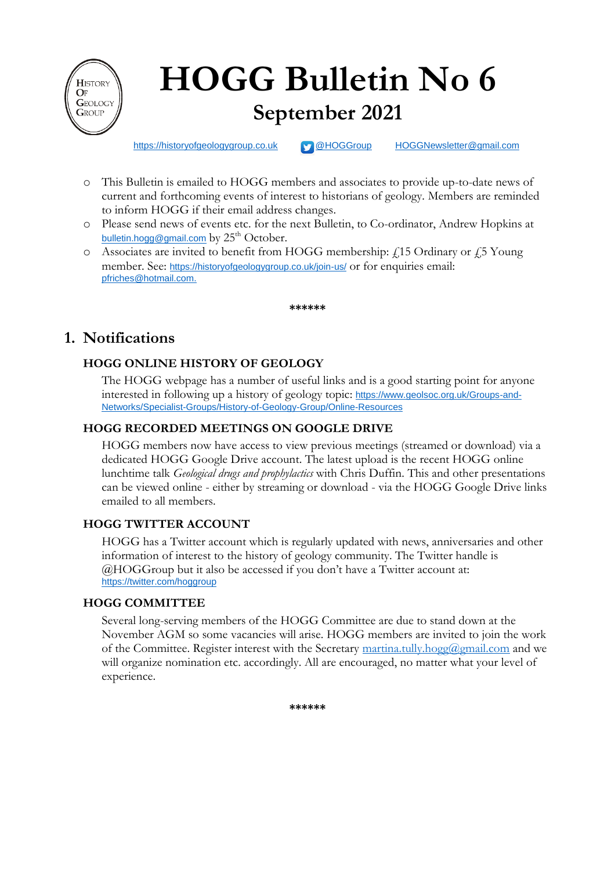

# **HOGG Bulletin No 6 September 2021**

[https://historyofgeologygroup.co.uk](https://historyofgeologygroup.co.uk/) **[@HOGGroup](https://twitter.com/hoggroup?lang=en) [HOGGNewsletter@gmail.com](mailto:HOGGNewsletter@gmail.com)** 

- o This Bulletin is emailed to HOGG members and associates to provide up-to-date news of current and forthcoming events of interest to historians of geology. Members are reminded to inform HOGG if their email address changes.
- o Please send news of events etc. for the next Bulletin, to Co-ordinator, Andrew Hopkins at [bulletin.hogg@gmail.com](mailto:bulletin.hogg@gmail.com) by  $25<sup>th</sup>$  October.
- $\circ$  Associates are invited to benefit from HOGG membership:  $f$  15 Ordinary or  $f$  5 Young member. See: <https://historyofgeologygroup.co.uk/join-us/> or for enquiries email: [pfriches@hotmail.com.](mailto:pfriches@hotmail.com)

**\*\*\*\*\*\***

# **1. Notifications**

## **HOGG ONLINE HISTORY OF GEOLOGY**

The HOGG webpage has a number of useful links and is a good starting point for anyone interested in following up a history of geology topic: [https://www.geolsoc.org.uk/Groups-and-](https://www.geolsoc.org.uk/Groups-and-Networks/Specialist-Groups/History-of-Geology-Group/Online-Resources)[Networks/Specialist-Groups/History-of-Geology-Group/Online-Resources](https://www.geolsoc.org.uk/Groups-and-Networks/Specialist-Groups/History-of-Geology-Group/Online-Resources)

## **HOGG RECORDED MEETINGS ON GOOGLE DRIVE**

HOGG members now have access to view previous meetings (streamed or download) via a dedicated HOGG Google Drive account. The latest upload is the recent HOGG online lunchtime talk *Geological drugs and prophylactics* with Chris Duffin. This and other presentations can be viewed online - either by streaming or download - via the HOGG Google Drive links emailed to all members.

#### **HOGG TWITTER ACCOUNT**

HOGG has a Twitter account which is regularly updated with news, anniversaries and other information of interest to the history of geology community. The Twitter handle is @HOGGroup but it also be accessed if you don't have a Twitter account at: <https://twitter.com/hoggroup>

#### **HOGG COMMITTEE**

Several long-serving members of the HOGG Committee are due to stand down at the November AGM so some vacancies will arise. HOGG members are invited to join the work of the Committee. Register interest with the Secretary [martina.tully.hogg@gmail.com](mailto:martina.tully.hogg@gmail.com) and we will organize nomination etc. accordingly. All are encouraged, no matter what your level of experience.

**\*\*\*\*\*\***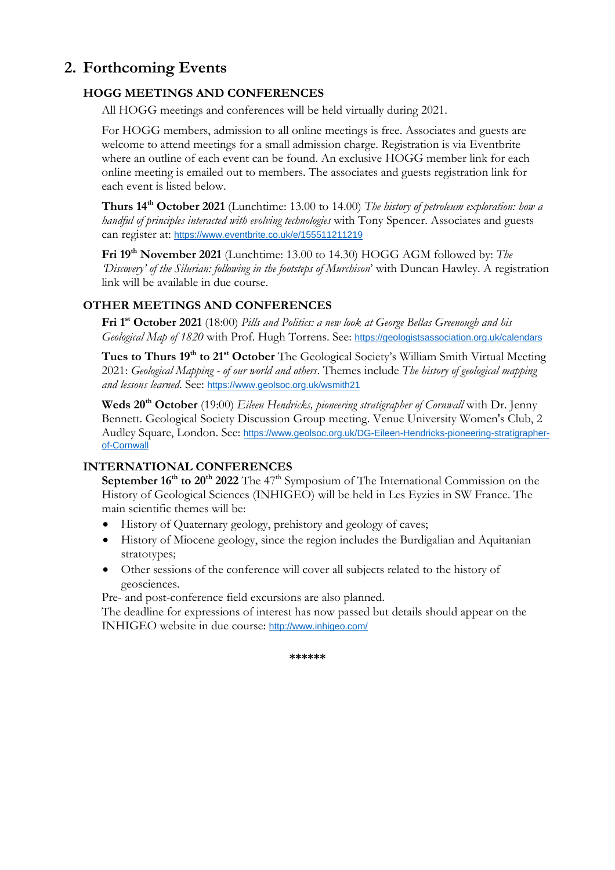# **2. Forthcoming Events**

## **HOGG MEETINGS AND CONFERENCES**

All HOGG meetings and conferences will be held virtually during 2021.

For HOGG members, admission to all online meetings is free. Associates and guests are welcome to attend meetings for a small admission charge. Registration is via Eventbrite where an outline of each event can be found. An exclusive HOGG member link for each online meeting is emailed out to members. The associates and guests registration link for each event is listed below.

**Thurs 14<sup>th</sup> October 2021** (Lunchtime: 13.00 to 14.00) *The history of petroleum exploration: how a handful of principles interacted with evolving technologies* with Tony Spencer. Associates and guests can register at: <https://www.eventbrite.co.uk/e/155511211219>

**Fri 19th November 2021** (Lunchtime: 13.00 to 14.30) HOGG AGM followed by: *The 'Discovery' of the Silurian: following in the footsteps of Murchison*' with Duncan Hawley. A registration link will be available in due course.

#### **OTHER MEETINGS AND CONFERENCES**

**Fri 1st October 2021** (18:00) *Pills and Politics: a new look at George Bellas Greenough and his Geological Map of 1820* with Prof. Hugh Torrens. See: <https://geologistsassociation.org.uk/calendars>

**Tues to Thurs 19th to 21st October** The Geological Society's William Smith Virtual Meeting 2021: *Geological Mapping - of our world and others*. Themes include *The history of geological mapping and lessons learned*. See: <https://www.geolsoc.org.uk/wsmith21>

**Weds 20th October** (19:00) *Eileen Hendricks, pioneering stratigrapher of Cornwall* with Dr. Jenny Bennett. Geological Society Discussion Group meeting. Venue University Women's Club, 2 Audley Square, London. See: [https://www.geolsoc.org.uk/DG-Eileen-Hendricks-pioneering-stratigrapher](https://www.geolsoc.org.uk/DG-Eileen-Hendricks-pioneering-stratigrapher-of-Cornwall)[of-Cornwall](https://www.geolsoc.org.uk/DG-Eileen-Hendricks-pioneering-stratigrapher-of-Cornwall)

#### **INTERNATIONAL CONFERENCES**

**September 16<sup>th</sup> to 20<sup>th</sup> 2022** The 47<sup>th</sup> Symposium of The International Commission on the History of Geological Sciences (INHIGEO) will be held in Les Eyzies in SW France. The main scientific themes will be:

- History of Quaternary geology, prehistory and geology of caves;
- History of Miocene geology, since the region includes the Burdigalian and Aquitanian stratotypes;
- Other sessions of the conference will cover all subjects related to the history of geosciences.

Pre- and post-conference field excursions are also planned.

The deadline for expressions of interest has now passed but details should appear on the INHIGEO website in due course: <http://www.inhigeo.com/>

**\*\*\*\*\*\***